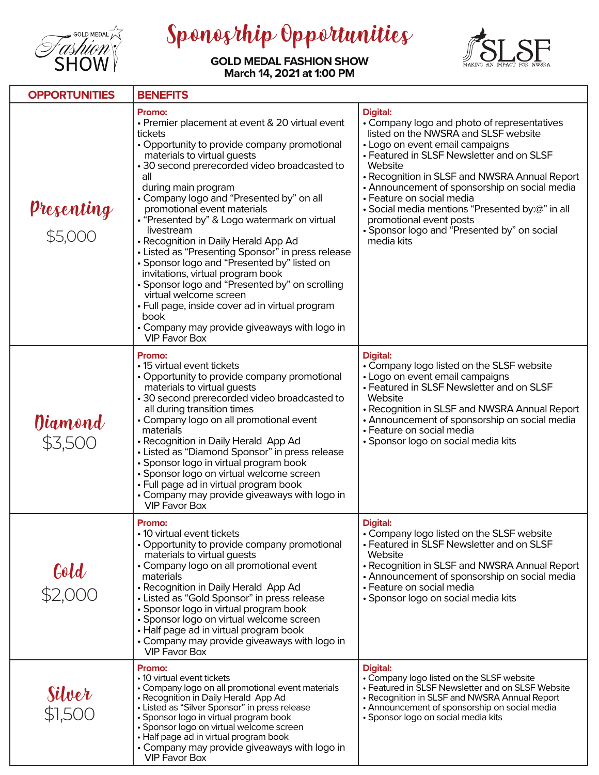

Sponosrhip Opportunities



**GOLD MEDAL FASHION SHOW March 14, 2021 at 1:00 PM**

| <b>OPPORTUNITIES</b>          | <b>BENEFITS</b>                                                                                                                                                                                                                                                                                                                                                                                                                                                                                                                                                                                                                                                                                                                                                            |                                                                                                                                                                                                                                                                                                                                                                                                                                                                             |  |
|-------------------------------|----------------------------------------------------------------------------------------------------------------------------------------------------------------------------------------------------------------------------------------------------------------------------------------------------------------------------------------------------------------------------------------------------------------------------------------------------------------------------------------------------------------------------------------------------------------------------------------------------------------------------------------------------------------------------------------------------------------------------------------------------------------------------|-----------------------------------------------------------------------------------------------------------------------------------------------------------------------------------------------------------------------------------------------------------------------------------------------------------------------------------------------------------------------------------------------------------------------------------------------------------------------------|--|
| <b>Presenting<br/>\$5,000</b> | Promo:<br>• Premier placement at event & 20 virtual event<br>tickets<br>• Opportunity to provide company promotional<br>materials to virtual guests<br>• 30 second prerecorded video broadcasted to<br>all<br>during main program<br>• Company logo and "Presented by" on all<br>promotional event materials<br>• "Presented by" & Logo watermark on virtual<br>livestream<br>• Recognition in Daily Herald App Ad<br>• Listed as "Presenting Sponsor" in press release<br>• Sponsor logo and "Presented by" listed on<br>invitations, virtual program book<br>• Sponsor logo and "Presented by" on scrolling<br>virtual welcome screen<br>• Full page, inside cover ad in virtual program<br>book<br>• Company may provide giveaways with logo in<br><b>VIP Favor Box</b> | <b>Digital:</b><br>• Company logo and photo of representatives<br>listed on the NWSRA and SLSF website<br>• Logo on event email campaigns<br>• Featured in SLSF Newsletter and on SLSF<br>Website<br>• Recognition in SLSF and NWSRA Annual Report<br>• Announcement of sponsorship on social media<br>· Feature on social media<br>· Social media mentions "Presented by:@" in all<br>promotional event posts<br>• Sponsor logo and "Presented by" on social<br>media kits |  |
| <b>Diamond</b><br>\$3,500     | <b>Promo:</b><br>• 15 virtual event tickets<br>• Opportunity to provide company promotional<br>materials to virtual guests<br>• 30 second prerecorded video broadcasted to<br>all during transition times<br>• Company logo on all promotional event<br>materials<br>• Recognition in Daily Herald App Ad<br>• Listed as "Diamond Sponsor" in press release<br>· Sponsor logo in virtual program book<br>· Sponsor logo on virtual welcome screen<br>• Full page ad in virtual program book<br>• Company may provide giveaways with logo in<br>VIP Favor Box                                                                                                                                                                                                               | <b>Digital:</b><br>• Company logo listed on the SLSF website<br>• Logo on event email campaigns<br>• Featured in SLSF Newsletter and on SLSF<br>Website<br>• Recognition in SLSF and NWSRA Annual Report<br>• Announcement of sponsorship on social media<br>• Feature on social media<br>• Sponsor logo on social media kits                                                                                                                                               |  |
| 601d<br>\$2,000               | <b>Promo:</b><br>• 10 virtual event tickets<br>• Opportunity to provide company promotional<br>materials to virtual guests<br>• Company logo on all promotional event<br>materials<br>• Recognition in Daily Herald App Ad<br>• Listed as "Gold Sponsor" in press release<br>• Sponsor logo in virtual program book<br>· Sponsor logo on virtual welcome screen<br>• Half page ad in virtual program book<br>• Company may provide giveaways with logo in<br><b>VIP Favor Box</b>                                                                                                                                                                                                                                                                                          | <b>Digital:</b><br>• Company logo listed on the SLSF website<br>• Featured in SLSF Newsletter and on SLSF<br>Website<br>• Recognition in SLSF and NWSRA Annual Report<br>• Announcement of sponsorship on social media<br>• Feature on social media<br>• Sponsor logo on social media kits                                                                                                                                                                                  |  |
| <b>Silver</b><br>\$1,500      | Promo:<br>• 10 virtual event tickets<br>• Company logo on all promotional event materials<br>• Recognition in Daily Herald App Ad<br>• Listed as "Silver Sponsor" in press release<br>• Sponsor logo in virtual program book<br>• Sponsor logo on virtual welcome screen<br>• Half page ad in virtual program book<br>• Company may provide giveaways with logo in<br><b>VIP Favor Box</b>                                                                                                                                                                                                                                                                                                                                                                                 | <b>Digital:</b><br>• Company logo listed on the SLSF website<br>• Featured in SLSF Newsletter and on SLSF Website<br>• Recognition in SLSF and NWSRA Annual Report<br>• Announcement of sponsorship on social media<br>• Sponsor logo on social media kits                                                                                                                                                                                                                  |  |